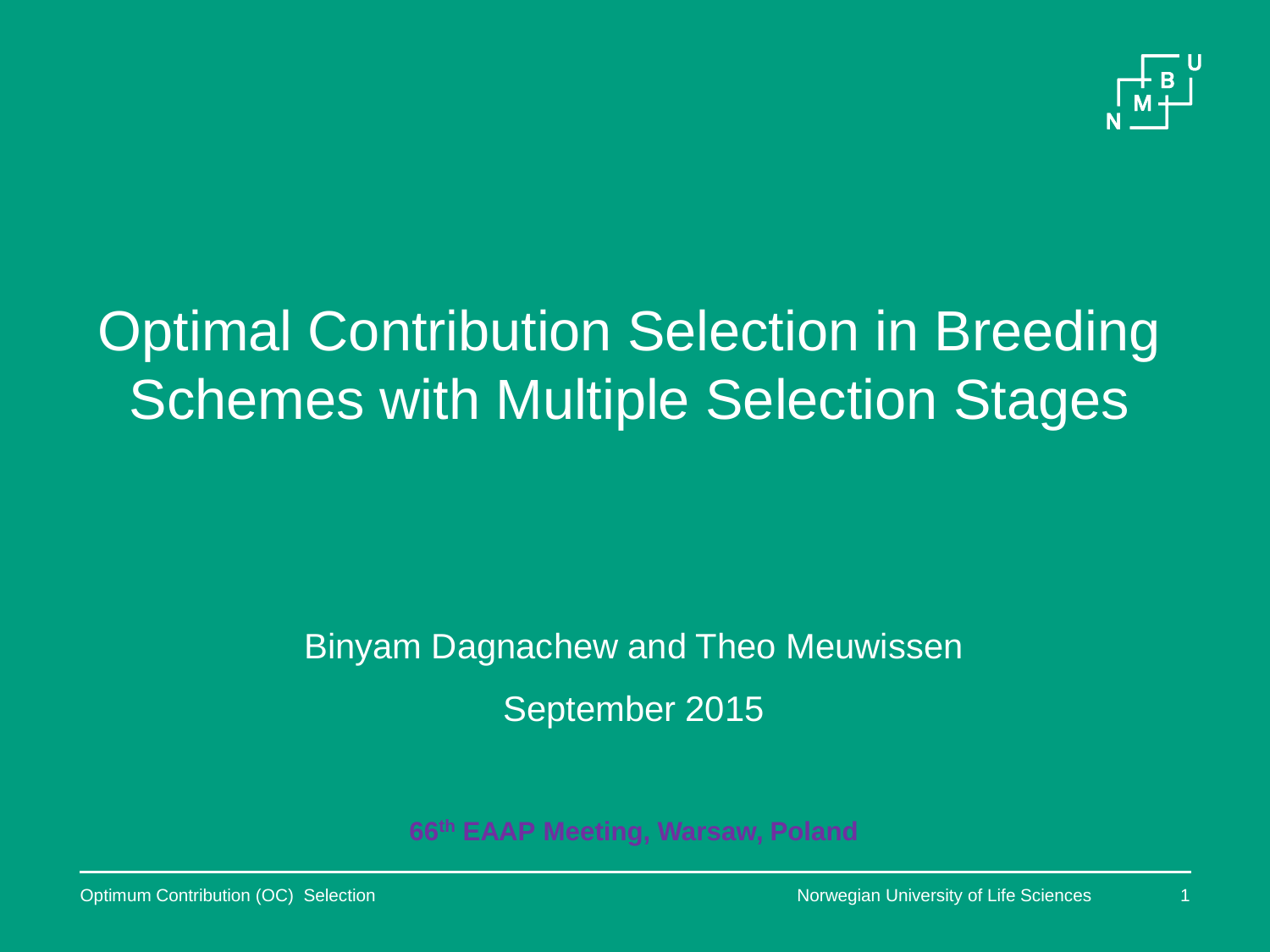

## Optimal Contribution Selection in Breeding **Schemes with Multiple Selection Stages**

### Binyam Dagnachew and Theo Meuwissen September 2015

**66th EAAP Meeting, Warsaw, Poland**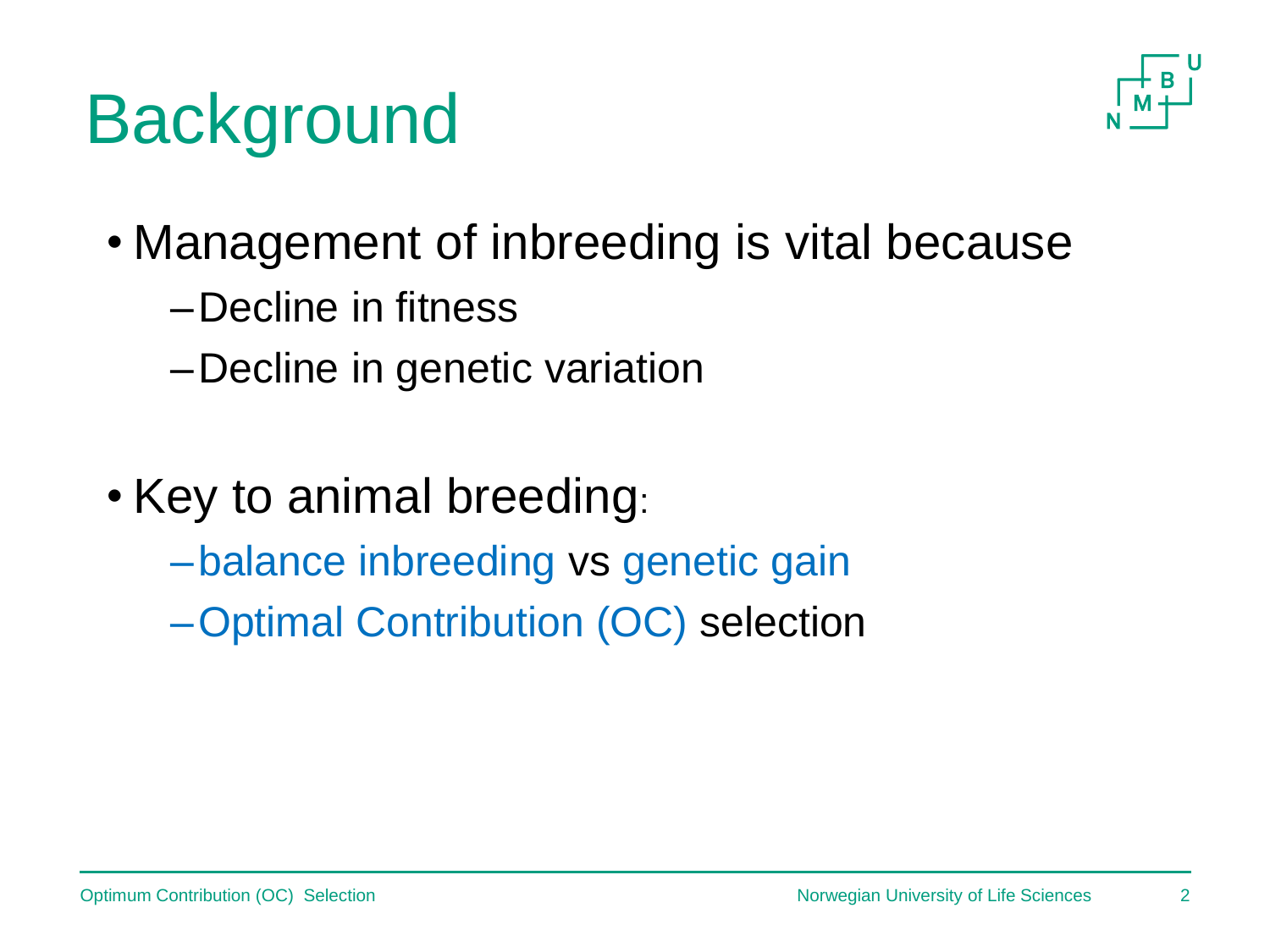## **Background**



- Management of inbreeding is vital because
	- –Decline in fitness
	- –Decline in genetic variation
- Key to animal breeding:
	- –balance inbreeding vs genetic gain
	- –Optimal Contribution (OC) selection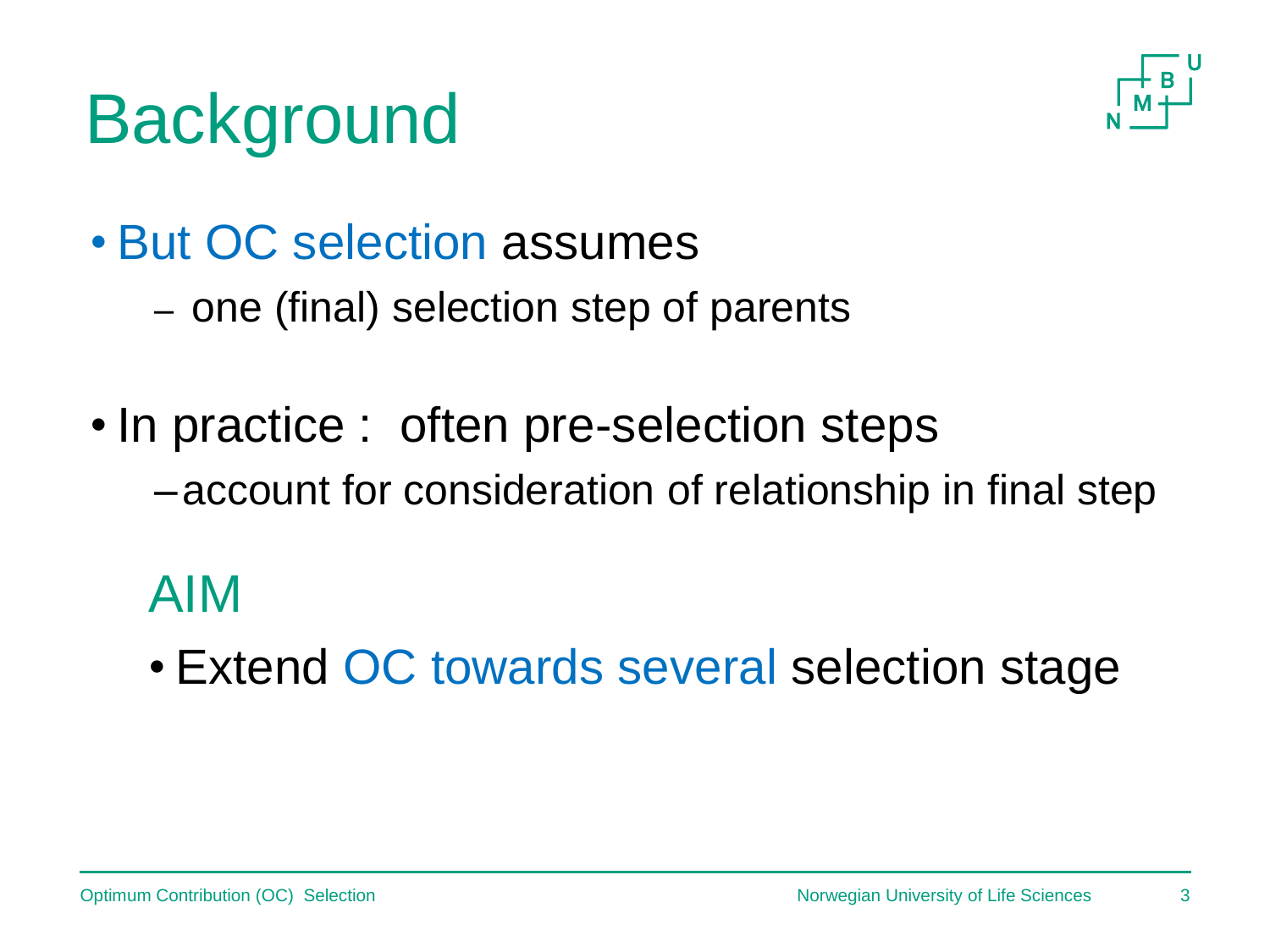## **Background**



- But OC selection assumes
	- one (final) selection step of parents
- In practice : often pre-selection steps
	- –account for consideration of relationship in final step

### AIM

• Extend OC towards several selection stage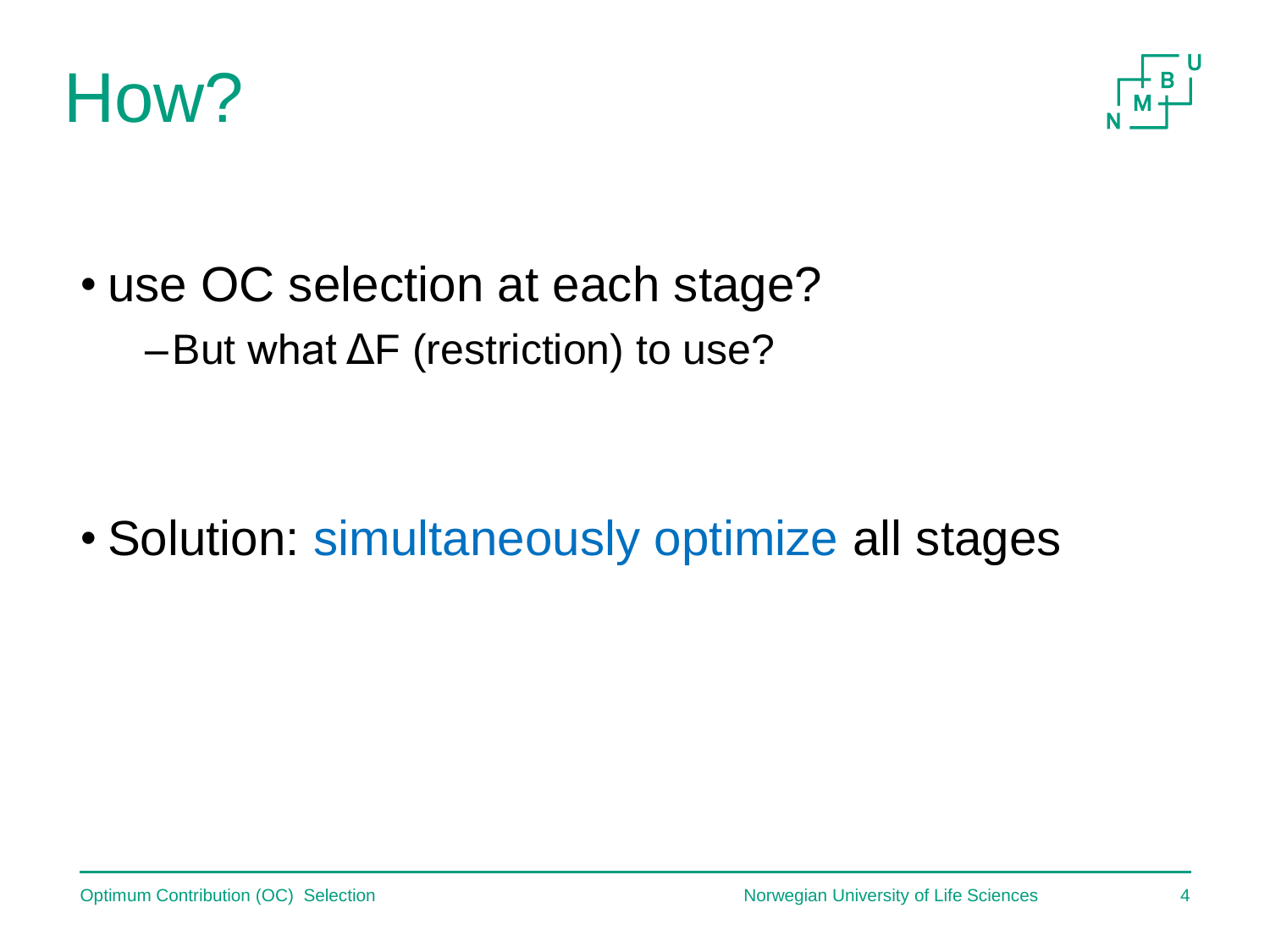



• use OC selection at each stage? –But what ΔF (restriction) to use?

• Solution: simultaneously optimize all stages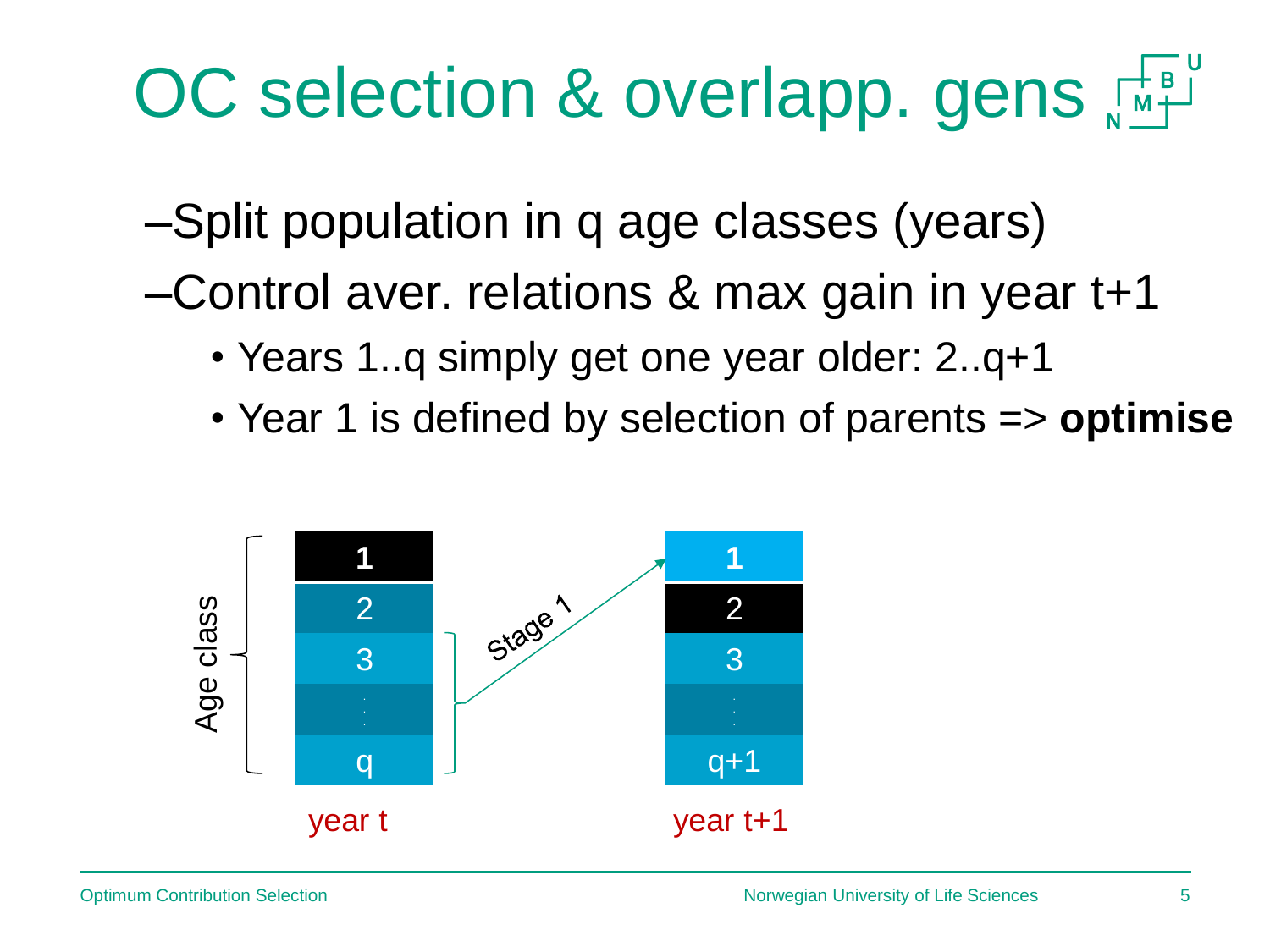# OC selection & overlapp. gens  $\mathbb{R}^{\sharp}$

–Split population in q age classes (years)

–Control aver. relations & max gain in year t+1

- Years 1..q simply get one year older: 2..q+1
- Year 1 is defined by selection of parents => **optimise**

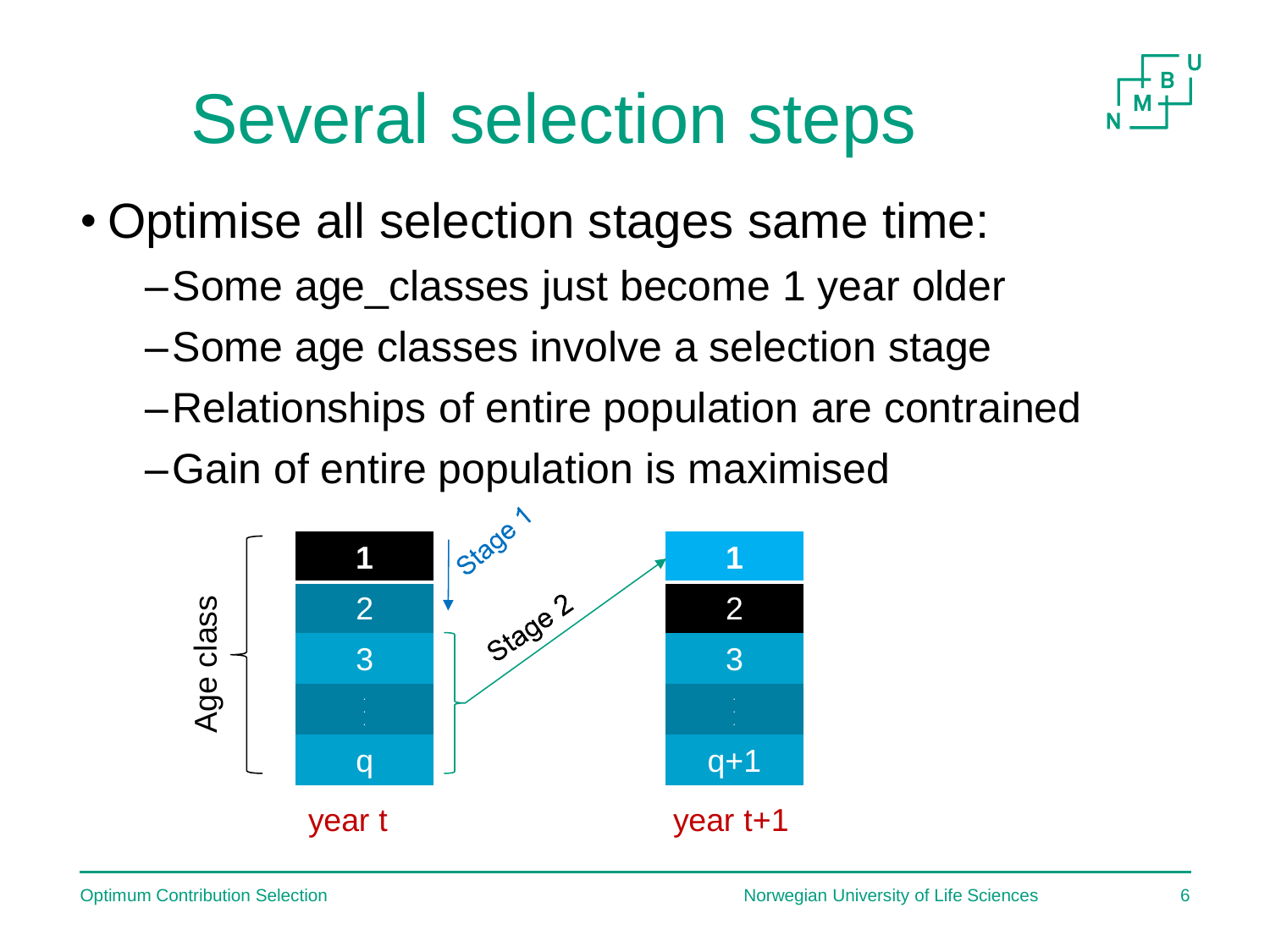## Several selection steps



- Optimise all selection stages same time:
	- –Some age\_classes just become 1 year older
	- –Some age classes involve a selection stage
	- –Relationships of entire population are contrained
	- –Gain of entire population is maximised

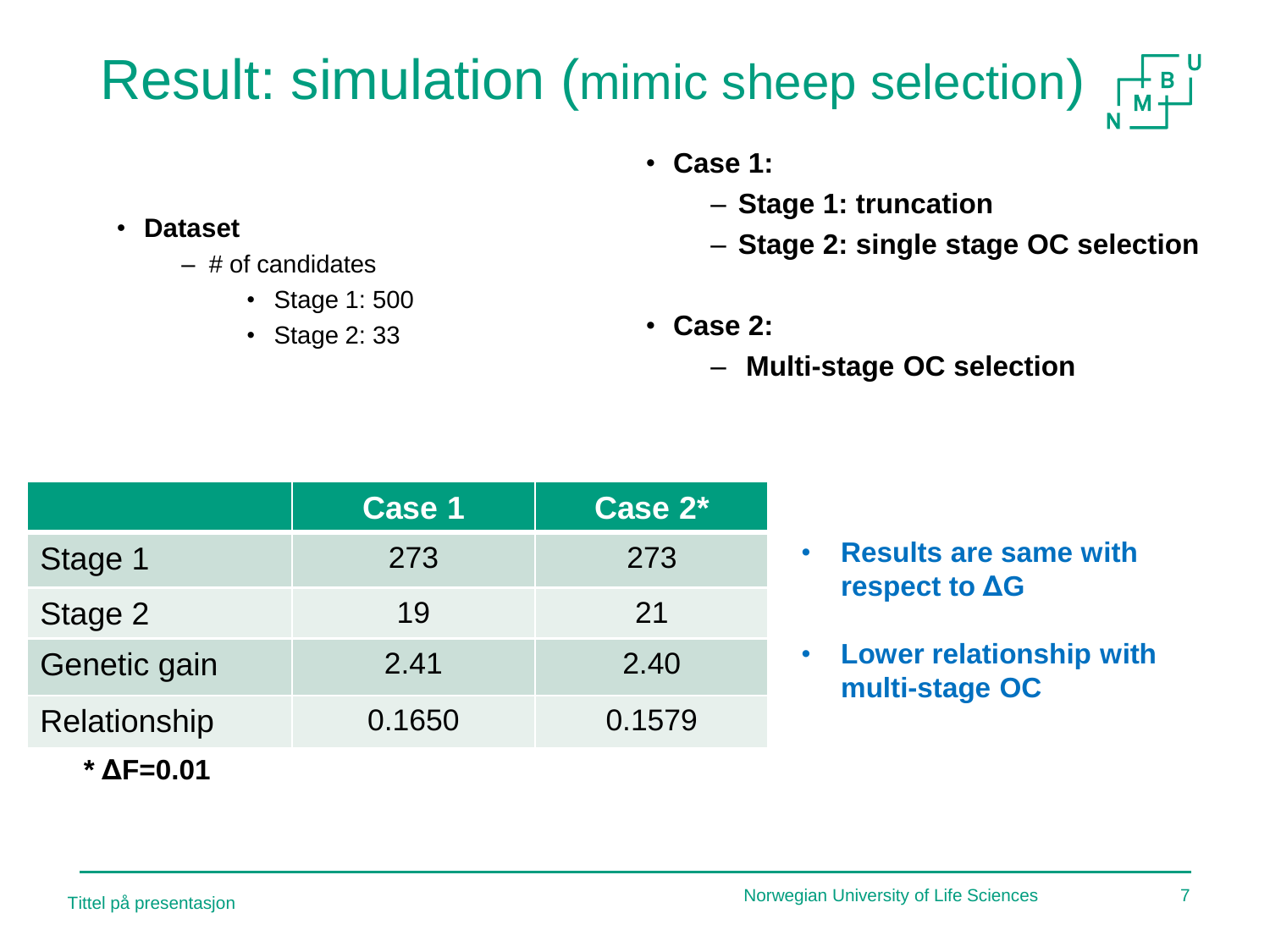#### Result: simulation (mimic sheep selection)  $\begin{array}{c} \begin{array}{c} \text{ } \\ \text{ } \\ \text{ } \\ \text{ } \\ \text{ } \\ \text{ } \\ \end{array} \end{array}$

- **Case 1:** 
	- **Stage 1: truncation**
	- **Stage 2: single stage OC selection**
- **Case 2:**
	- **Multi-stage OC selection**

|                            | Case 1 | Case 2* |                                                  |
|----------------------------|--------|---------|--------------------------------------------------|
| Stage 1                    | 273    | 273     | • Results are same with<br>respect to $\Delta G$ |
| Stage 2                    | 19     | 21      |                                                  |
| Genetic gain               | 2.41   | 2.40    | • Lower relationship with<br>multi-stage OC      |
| Relationship               | 0.1650 | 0.1579  |                                                  |
| $^{\star}$ $\Delta$ F=0.01 |        |         |                                                  |

- $-$  # of candidates
	- Stage 1: 500
	- Stage 2: 33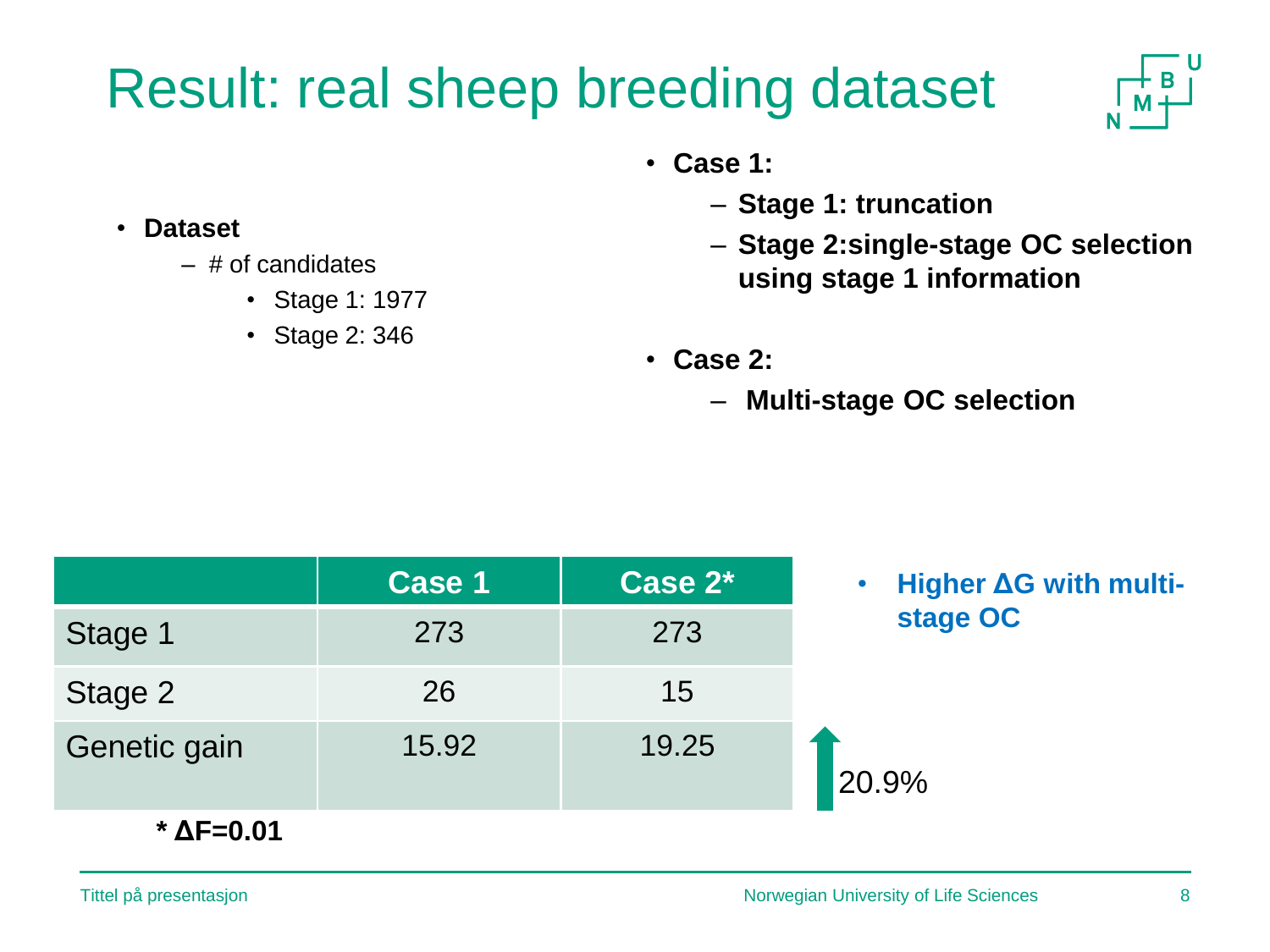## Result: real sheep breeding dataset



- **Case 1:** 
	- **Stage 1: truncation**
	- **Stage 2:single-stage OC selection using stage 1 information**
- **Case 2:**
	- **Multi-stage OC selection**

|                     | Case 1 | Case 2* | • Higher AG with multi- |
|---------------------|--------|---------|-------------------------|
| Stage 1             | 273    | 273     | stage OC                |
| Stage 2             | 26     | 15      |                         |
| Genetic gain        | 15.92  | 19.25   | 20.9%                   |
| $*$ $\Delta$ F=0.01 |        |         |                         |

- **Dataset**
	- $-$  # of candidates
		- Stage 1: 1977
		- Stage 2: 346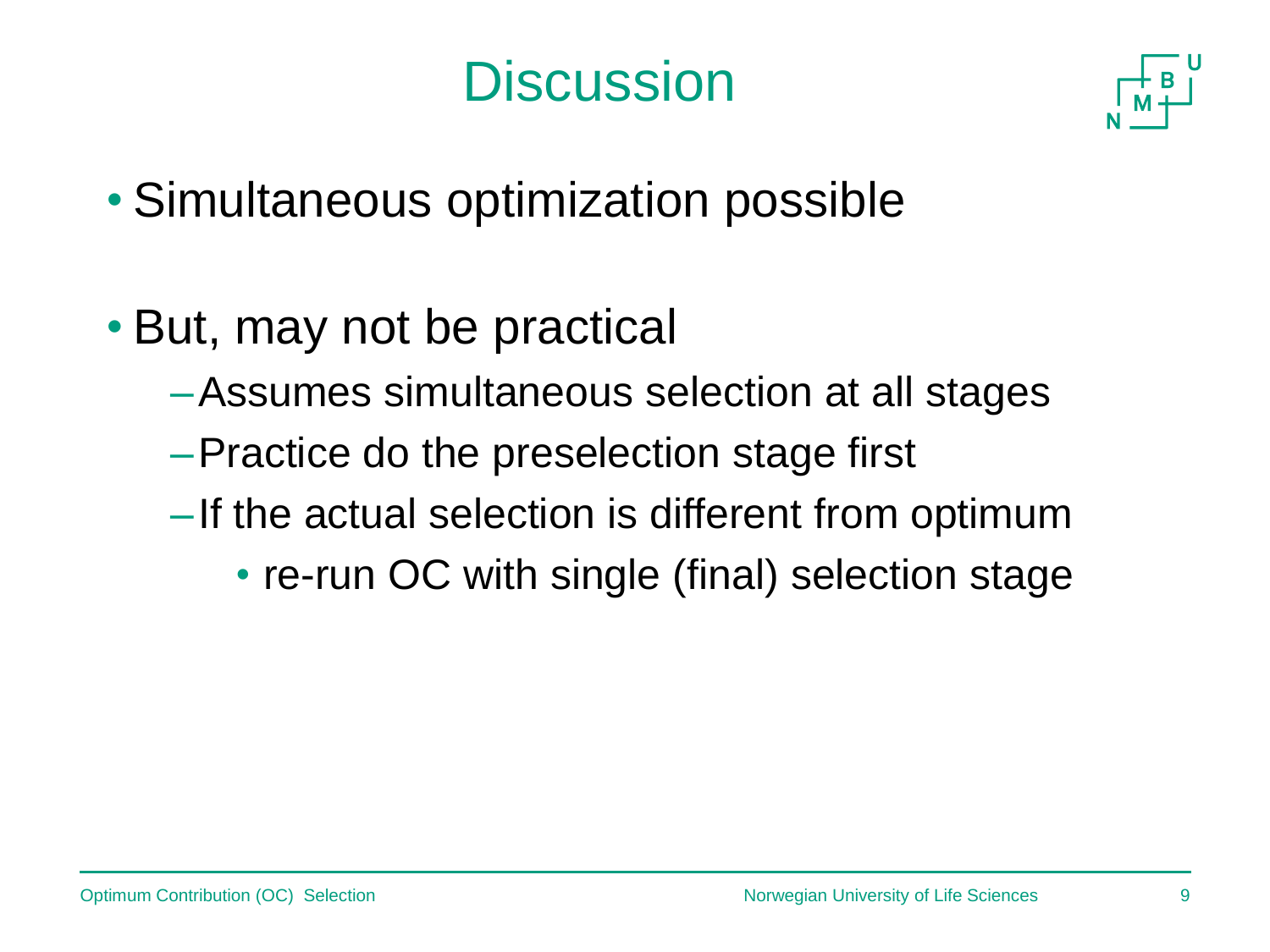## **Discussion**



- Simultaneous optimization possible
- But, may not be practical
	- –Assumes simultaneous selection at all stages
	- –Practice do the preselection stage first
	- –If the actual selection is different from optimum
		- re-run OC with single (final) selection stage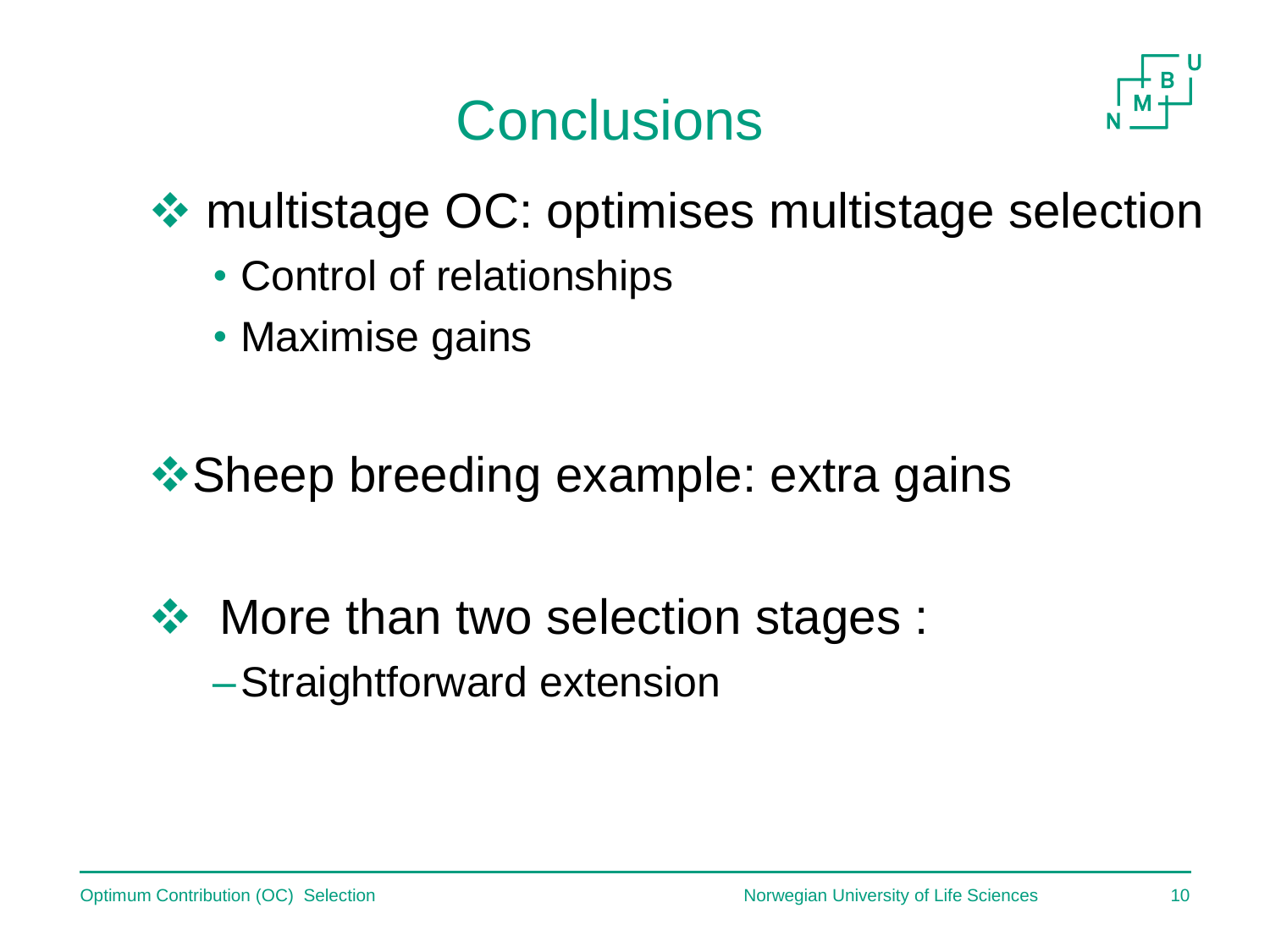## **Conclusions**



multistage OC: optimises multistage selection

- Control of relationships
- Maximise gains

**❖ Sheep breeding example: extra gains** 

❖ More than two selection stages : –Straightforward extension